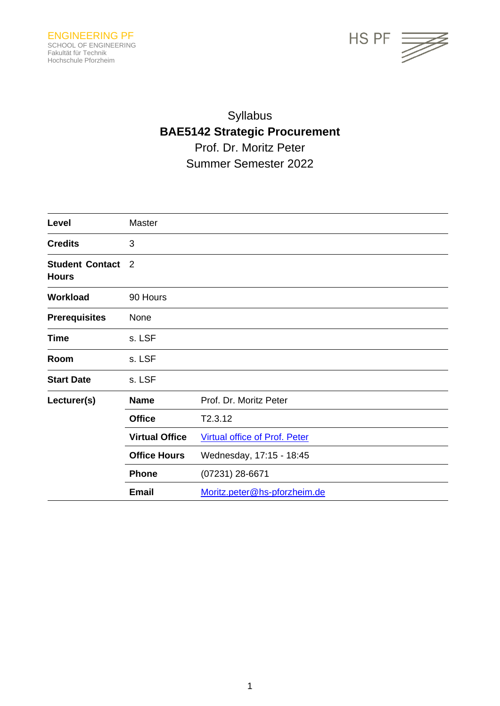

# Syllabus **BAE5142 Strategic Procurement** Prof. Dr. Moritz Peter Summer Semester 2022

| Level                                  | Master                |                                      |
|----------------------------------------|-----------------------|--------------------------------------|
| <b>Credits</b>                         | 3                     |                                      |
| <b>Student Contact</b><br><b>Hours</b> | $\overline{2}$        |                                      |
| Workload                               | 90 Hours              |                                      |
| <b>Prerequisites</b>                   | None                  |                                      |
| <b>Time</b>                            | s. LSF                |                                      |
| Room                                   | s. LSF                |                                      |
| <b>Start Date</b>                      | s. LSF                |                                      |
| Lecturer(s)                            | <b>Name</b>           | Prof. Dr. Moritz Peter               |
|                                        | <b>Office</b>         | T2.3.12                              |
|                                        | <b>Virtual Office</b> | <b>Virtual office of Prof. Peter</b> |
|                                        | <b>Office Hours</b>   | Wednesday, 17:15 - 18:45             |
|                                        | <b>Phone</b>          | (07231) 28-6671                      |
|                                        | <b>Email</b>          | Moritz.peter@hs-pforzheim.de         |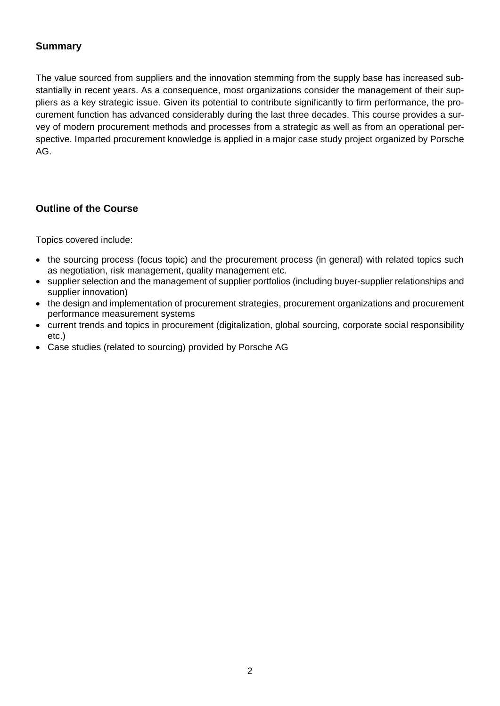# **Summary**

The value sourced from suppliers and the innovation stemming from the supply base has increased substantially in recent years. As a consequence, most organizations consider the management of their suppliers as a key strategic issue. Given its potential to contribute significantly to firm performance, the procurement function has advanced considerably during the last three decades. This course provides a survey of modern procurement methods and processes from a strategic as well as from an operational perspective. Imparted procurement knowledge is applied in a major case study project organized by Porsche AG.

# **Outline of the Course**

Topics covered include:

- the sourcing process (focus topic) and the procurement process (in general) with related topics such as negotiation, risk management, quality management etc.
- supplier selection and the management of supplier portfolios (including buyer-supplier relationships and supplier innovation)
- the design and implementation of procurement strategies, procurement organizations and procurement performance measurement systems
- current trends and topics in procurement (digitalization, global sourcing, corporate social responsibility etc.)
- Case studies (related to sourcing) provided by Porsche AG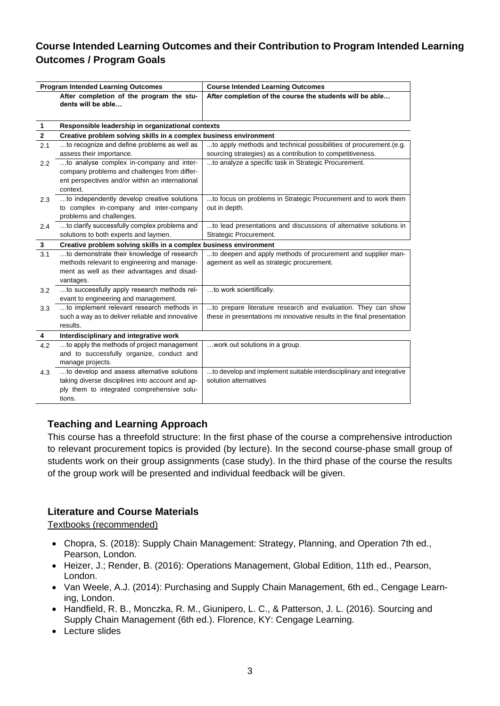# **Course Intended Learning Outcomes and their Contribution to Program Intended Learning Outcomes / Program Goals**

| <b>Program Intended Learning Outcomes</b> |                                                                                                                 | <b>Course Intended Learning Outcomes</b>                                                                  |
|-------------------------------------------|-----------------------------------------------------------------------------------------------------------------|-----------------------------------------------------------------------------------------------------------|
|                                           | After completion of the program the stu-<br>dents will be able                                                  | After completion of the course the students will be able                                                  |
| 1                                         | Responsible leadership in organizational contexts                                                               |                                                                                                           |
| $\mathbf{2}$                              | Creative problem solving skills in a complex business environment                                               |                                                                                                           |
| 2.1                                       | to recognize and define problems as well as                                                                     | to apply methods and technical possibilities of procurement.(e.g.                                         |
|                                           | assess their importance.                                                                                        | sourcing strategies) as a contribution to competitiveness.                                                |
| $2.2\,$                                   | to analyse complex in-company and inter-                                                                        | to analyze a specific task in Strategic Procurement.                                                      |
|                                           | company problems and challenges from differ-                                                                    |                                                                                                           |
|                                           | ent perspectives and/or within an international                                                                 |                                                                                                           |
|                                           | context.                                                                                                        |                                                                                                           |
| 2.3                                       | to independently develop creative solutions                                                                     | to focus on problems in Strategic Procurement and to work them                                            |
|                                           | to complex in-company and inter-company                                                                         | out in depth.                                                                                             |
|                                           | problems and challenges.                                                                                        |                                                                                                           |
| 2.4                                       | to clarify successfully complex problems and<br>solutions to both experts and laymen.                           | to lead presentations and discussions of alternative solutions in<br>Strategic Procurement.               |
|                                           |                                                                                                                 |                                                                                                           |
| 3                                         | Creative problem solving skills in a complex business environment<br>to demonstrate their knowledge of research |                                                                                                           |
| 3.1                                       | methods relevant to engineering and manage-                                                                     | to deepen and apply methods of procurement and supplier man-<br>agement as well as strategic procurement. |
|                                           | ment as well as their advantages and disad-                                                                     |                                                                                                           |
|                                           | vantages.                                                                                                       |                                                                                                           |
| 3.2                                       | to successfully apply research methods rel-                                                                     | to work scientifically.                                                                                   |
|                                           | evant to engineering and management.                                                                            |                                                                                                           |
| 3.3                                       | to implement relevant research methods in                                                                       | to prepare literature research and evaluation. They can show                                              |
|                                           | such a way as to deliver reliable and innovative                                                                | these in presentations mi innovative results in the final presentation                                    |
|                                           | results.                                                                                                        |                                                                                                           |
| 4                                         | Interdisciplinary and integrative work                                                                          |                                                                                                           |
| 4.2                                       | to apply the methods of project management                                                                      | work out solutions in a group.                                                                            |
|                                           | and to successfully organize, conduct and                                                                       |                                                                                                           |
|                                           | manage projects.                                                                                                |                                                                                                           |
| 4.3                                       | to develop and assess alternative solutions                                                                     | to develop and implement suitable interdisciplinary and integrative                                       |
|                                           | taking diverse disciplines into account and ap-                                                                 | solution alternatives                                                                                     |
|                                           | ply them to integrated comprehensive solu-                                                                      |                                                                                                           |
|                                           | tions.                                                                                                          |                                                                                                           |

# **Teaching and Learning Approach**

This course has a threefold structure: In the first phase of the course a comprehensive introduction to relevant procurement topics is provided (by lecture). In the second course-phase small group of students work on their group assignments (case study). In the third phase of the course the results of the group work will be presented and individual feedback will be given.

# **Literature and Course Materials**

Textbooks (recommended)

- Chopra, S. (2018): Supply Chain Management: Strategy, Planning, and Operation 7th ed., Pearson, London.
- Heizer, J.; Render, B. (2016): Operations Management, Global Edition, 11th ed., Pearson, London.
- Van Weele, A.J. (2014): Purchasing and Supply Chain Management, 6th ed., Cengage Learning, London.
- Handfield, R. B., Monczka, R. M., Giunipero, L. C., & Patterson, J. L. (2016). Sourcing and Supply Chain Management (6th ed.). Florence, KY: Cengage Learning.
- Lecture slides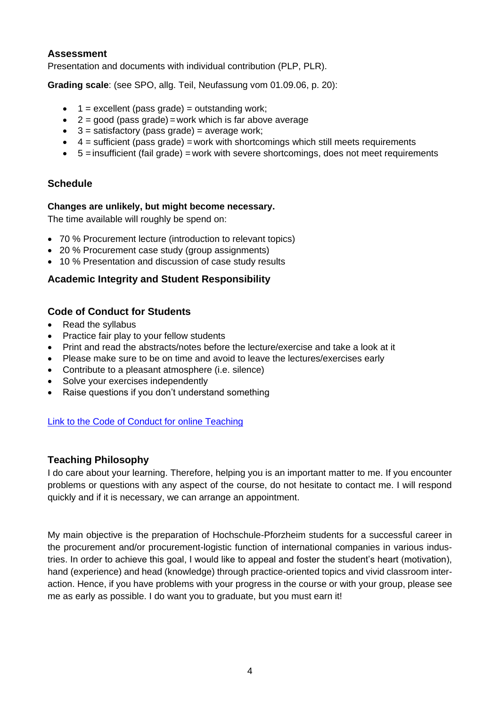### **Assessment**

Presentation and documents with individual contribution (PLP, PLR).

**Grading scale**: (see SPO, allg. Teil, Neufassung vom 01.09.06, p. 20):

- $\bullet$  1 = excellent (pass grade) = outstanding work;
- $\bullet$  2 = good (pass grade) = work which is far above average
- $\bullet$  3 = satisfactory (pass grade) = average work;
- $\bullet$  4 = sufficient (pass grade) = work with shortcomings which still meets requirements
- 5 = insufficient (fail grade) = work with severe shortcomings, does not meet requirements

# **Schedule**

#### **Changes are unlikely, but might become necessary.**

The time available will roughly be spend on:

- 70 % Procurement lecture (introduction to relevant topics)
- 20 % Procurement case study (group assignments)
- 10 % Presentation and discussion of case study results

# **Academic Integrity and Student Responsibility**

# **Code of Conduct for Students**

- Read the syllabus
- Practice fair play to your fellow students
- Print and read the abstracts/notes before the lecture/exercise and take a look at it
- Please make sure to be on time and avoid to leave the lectures/exercises early
- Contribute to a pleasant atmosphere (i.e. silence)
- Solve your exercises independently
- Raise questions if you don't understand something

#### [Link to the Code of Conduct for](https://e-campus.hs-pforzheim.de/business_pf/digital_learning_tools_links) online Teaching

#### **Teaching Philosophy**

I do care about your learning. Therefore, helping you is an important matter to me. If you encounter problems or questions with any aspect of the course, do not hesitate to contact me. I will respond quickly and if it is necessary, we can arrange an appointment.

My main objective is the preparation of Hochschule-Pforzheim students for a successful career in the procurement and/or procurement-logistic function of international companies in various industries. In order to achieve this goal, I would like to appeal and foster the student's heart (motivation), hand (experience) and head (knowledge) through practice-oriented topics and vivid classroom interaction. Hence, if you have problems with your progress in the course or with your group, please see me as early as possible. I do want you to graduate, but you must earn it!